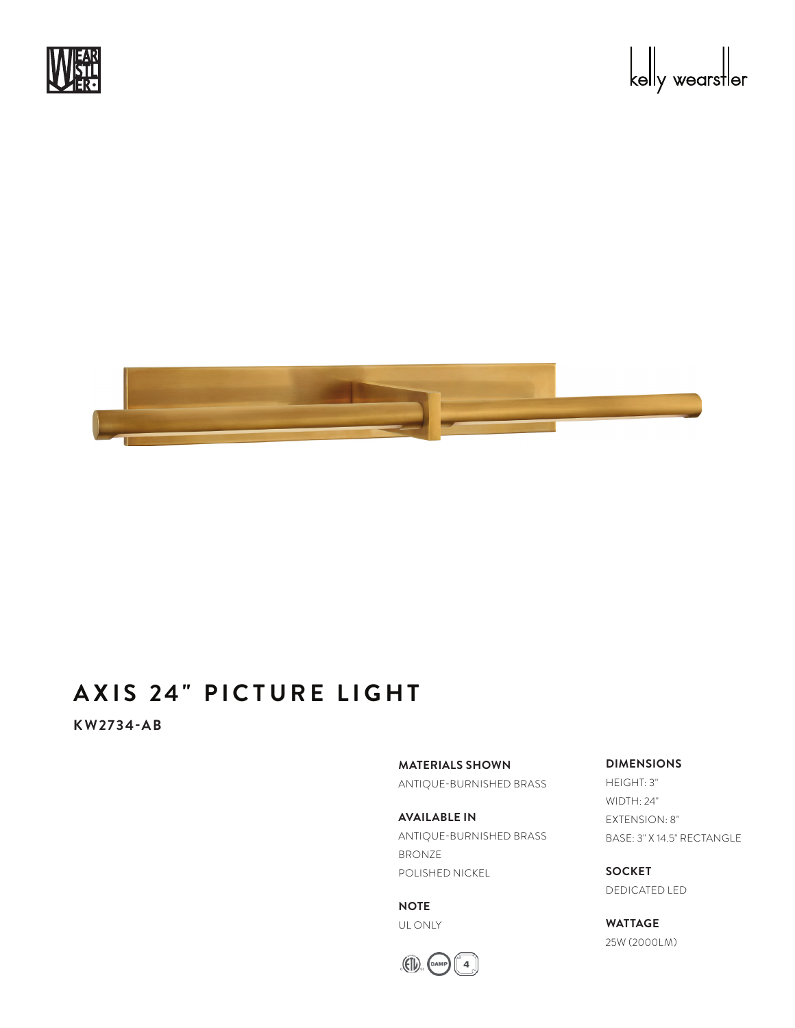



# **AXIS 24" PICTURE LIGHT**

**KW2734-AB**

**MATERIALS SHOWN**

ANTIQUE-BURNISHED BRASS

**AVAILABLE IN** ANTIQUE-BURNISHED BRASS BRONZE POLISHED NICKEL

**NOTE** UL ONLY



### **DIMENSIONS**

HEIGHT: 3" WIDTH: 24" EXTENSION: 8" BASE: 3" X 14.5" RECTANGLE

**SOCKET** DEDICATED LED

**WATTAGE** 25W (2000LM)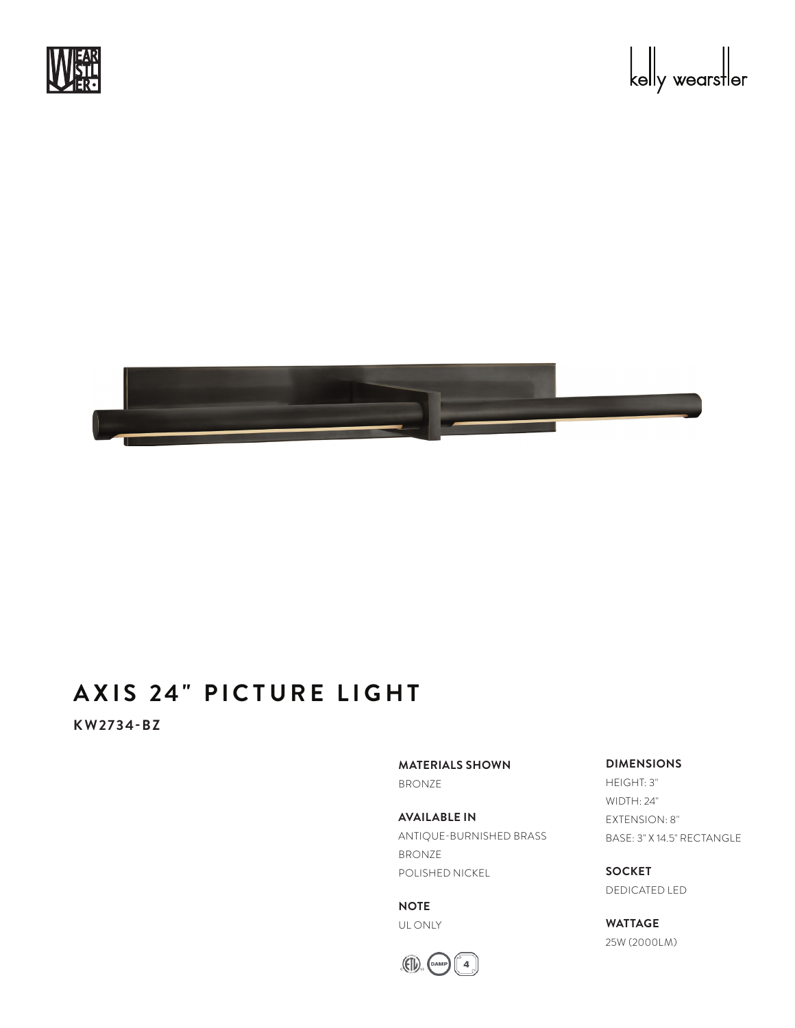



# **AXIS 24" PICTURE LIGHT**

**KW2734-BZ**

**MATERIALS SHOWN**

BRONZE

**AVAILABLE IN** ANTIQUE-BURNISHED BRASS BRONZE POLISHED NICKEL

**NOTE** UL ONLY



#### **DIMENSIONS**

HEIGHT: 3" WIDTH: 24" EXTENSION: 8" BASE: 3" X 14.5" RECTANGLE

**SOCKET** DEDICATED LED

**WATTAGE** 25W (2000LM)